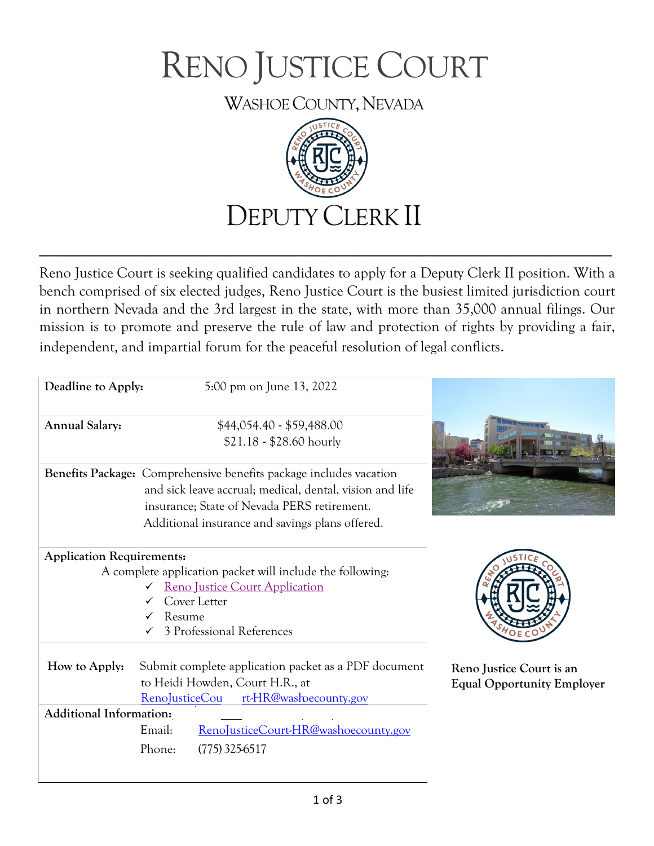

WASHOE COUNTY, NEVADA



Reno Justice Court is seeking qualified candidates to apply for a Deputy Clerk II position. With a bench comprised of six elected judges, Reno Justice Court is the busiest limited jurisdiction court in northern Nevada and the 3rd largest in the state, with more than 35,000 annual filings. Our mission is to promote and preserve the rule of law and protection of rights by providing a fair, independent, and impartial forum for the peaceful resolution of legal conflicts.

**\_\_\_\_\_\_\_\_\_\_\_\_\_\_\_\_\_\_\_\_\_\_\_\_\_\_\_\_\_\_\_\_\_\_\_\_\_\_\_\_\_\_\_\_\_\_\_\_\_\_\_\_\_\_\_\_\_\_\_\_\_\_\_\_\_\_\_**

| Deadline to Apply:               | 5:00 pm on June 13, 2022                                                                                                                                                                                                                |                                                               |
|----------------------------------|-----------------------------------------------------------------------------------------------------------------------------------------------------------------------------------------------------------------------------------------|---------------------------------------------------------------|
| <b>Annual Salary:</b>            | \$44,054.40 - \$59,488.00<br>\$21.18 - \$28.60 hourly                                                                                                                                                                                   |                                                               |
|                                  | <b>Benefits Package:</b> Comprehensive benefits package includes vacation<br>and sick leave accrual; medical, dental, vision and life<br>insurance; State of Nevada PERS retirement.<br>Additional insurance and savings plans offered. |                                                               |
| <b>Application Requirements:</b> | A complete application packet will include the following:<br><b>Reno Justice Court Application</b><br>Cover Letter<br>Resume<br>3 Professional References                                                                               |                                                               |
| How to Apply:                    | Submit complete application packet as a PDF document<br>to Heidi Howden, Court H.R., at<br>rt-HR@washecounty.gov<br>RenoJusticeCou                                                                                                      | Reno Justice Court is an<br><b>Equal Opportunity Employer</b> |
| <b>Additional Information:</b>   | RenoJusticeCourt-HR@washoecounty.gov<br>Email:<br>Phone:<br>$(775)$ 325-6517                                                                                                                                                            |                                                               |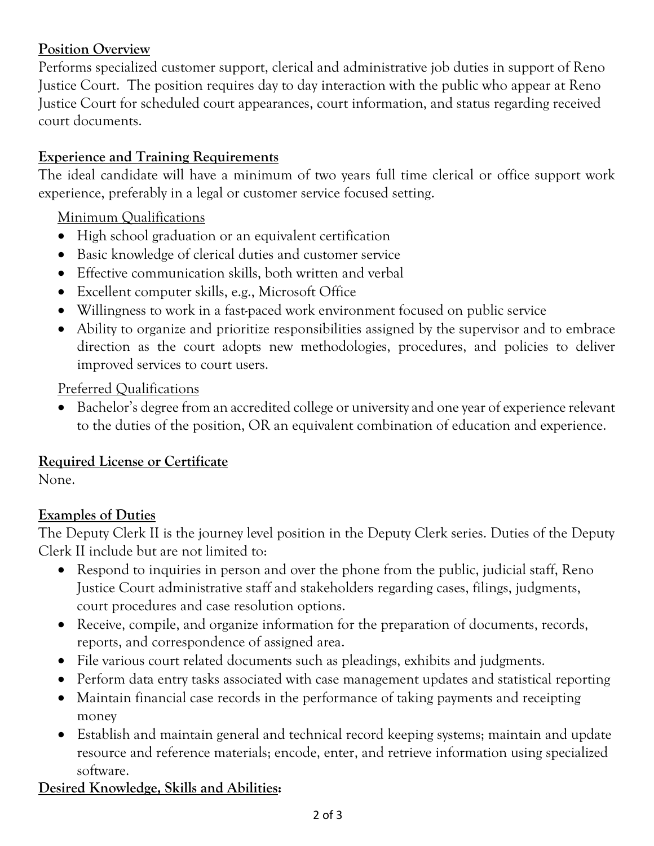# **Position Overview**

Performs specialized customer support, clerical and administrative job duties in support of Reno Justice Court. The position requires day to day interaction with the public who appear at Reno Justice Court for scheduled court appearances, court information, and status regarding received court documents.

# **Experience and Training Requirements**

The ideal candidate will have a minimum of two years full time clerical or office support work experience, preferably in a legal or customer service focused setting.

### Minimum Qualifications

- High school graduation or an equivalent certification
- Basic knowledge of clerical duties and customer service
- Effective communication skills, both written and verbal
- Excellent computer skills, e.g., Microsoft Office
- Willingness to work in a fast-paced work environment focused on public service
- Ability to organize and prioritize responsibilities assigned by the supervisor and to embrace direction as the court adopts new methodologies, procedures, and policies to deliver improved services to court users.

#### Preferred Qualifications

• Bachelor's degree from an accredited college or university and one year of experience relevant to the duties of the position, OR an equivalent combination of education and experience.

## **Required License or Certificate**

None.

## **Examples of Duties**

The Deputy Clerk II is the journey level position in the Deputy Clerk series. Duties of the Deputy Clerk II include but are not limited to:

- Respond to inquiries in person and over the phone from the public, judicial staff, Reno Justice Court administrative staff and stakeholders regarding cases, filings, judgments, court procedures and case resolution options.
- Receive, compile, and organize information for the preparation of documents, records, reports, and correspondence of assigned area.
- File various court related documents such as pleadings, exhibits and judgments.
- Perform data entry tasks associated with case management updates and statistical reporting
- Maintain financial case records in the performance of taking payments and receipting money
- Establish and maintain general and technical record keeping systems; maintain and update resource and reference materials; encode, enter, and retrieve information using specialized software.

# **Desired Knowledge, Skills and Abilities:**